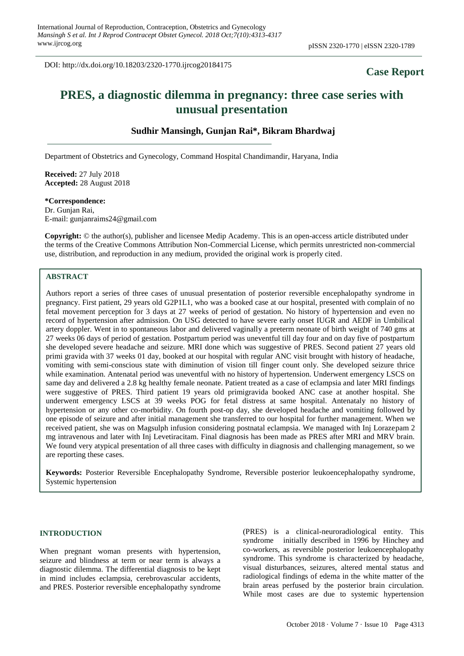DOI: http://dx.doi.org/10.18203/2320-1770.ijrcog20184175

# **Case Report**

# **PRES, a diagnostic dilemma in pregnancy: three case series with unusual presentation**

# **Sudhir Mansingh, Gunjan Rai\*, Bikram Bhardwaj**

Department of Obstetrics and Gynecology, Command Hospital Chandimandir, Haryana, India

**Received:** 27 July 2018 **Accepted:** 28 August 2018

# **\*Correspondence:**

Dr. Gunjan Rai, E-mail: gunjanraims24@gmail.com

**Copyright:** © the author(s), publisher and licensee Medip Academy. This is an open-access article distributed under the terms of the Creative Commons Attribution Non-Commercial License, which permits unrestricted non-commercial use, distribution, and reproduction in any medium, provided the original work is properly cited.

# **ABSTRACT**

Authors report a series of three cases of unusual presentation of posterior reversible encephalopathy syndrome in pregnancy. First patient, 29 years old G2P1L1, who was a booked case at our hospital, presented with complain of no fetal movement perception for 3 days at 27 weeks of period of gestation. No history of hypertension and even no record of hypertension after admission. On USG detected to have severe early onset IUGR and AEDF in Umbilical artery doppler. Went in to spontaneous labor and delivered vaginally a preterm neonate of birth weight of 740 gms at 27 weeks 06 days of period of gestation. Postpartum period was uneventful till day four and on day five of postpartum she developed severe headache and seizure. MRI done which was suggestive of PRES. Second patient 27 years old primi gravida with 37 weeks 01 day, booked at our hospital with regular ANC visit brought with history of headache, vomiting with semi-conscious state with diminution of vision till finger count only. She developed seizure thrice while examination. Antenatal period was uneventful with no history of hypertension. Underwent emergency LSCS on same day and delivered a 2.8 kg healthy female neonate. Patient treated as a case of eclampsia and later MRI findings were suggestive of PRES. Third patient 19 years old primigravida booked ANC case at another hospital. She underwent emergency LSCS at 39 weeks POG for fetal distress at same hospital. Antenataly no history of hypertension or any other co-morbidity. On fourth post-op day, she developed headache and vomiting followed by one episode of seizure and after initial management she transferred to our hospital for further management. When we received patient, she was on Magsulph infusion considering postnatal eclampsia. We managed with Inj Lorazepam 2 mg intravenous and later with Inj Levetiracitam. Final diagnosis has been made as PRES after MRI and MRV brain. We found very atypical presentation of all three cases with difficulty in diagnosis and challenging management, so we are reporting these cases.

**Keywords:** Posterior Reversible Encephalopathy Syndrome, Reversible posterior leukoencephalopathy syndrome, Systemic hypertension

## **INTRODUCTION**

When pregnant woman presents with hypertension, seizure and blindness at term or near term is always a diagnostic dilemma. The differential diagnosis to be kept in mind includes eclampsia, cerebrovascular accidents, and PRES. Posterior reversible encephalopathy syndrome (PRES) is a clinical-neuroradiological entity. This syndrome initially described in 1996 by Hinchey and co-workers, as reversible posterior leukoencephalopathy syndrome. This syndrome is characterized by headache, visual disturbances, seizures, altered mental status and radiological findings of edema in the white matter of the brain areas perfused by the posterior brain circulation. While most cases are due to systemic hypertension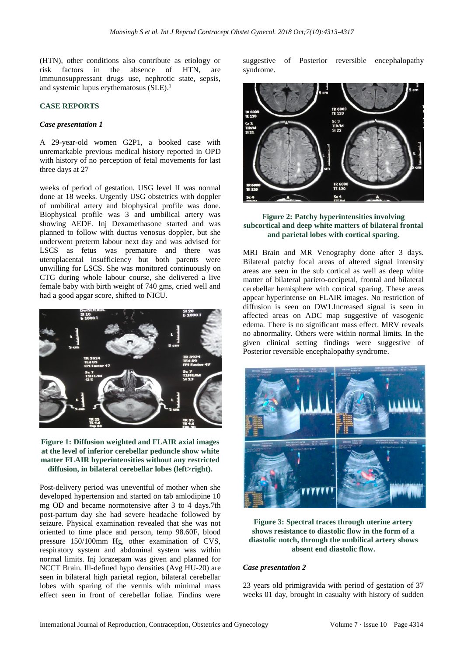(HTN), other conditions also contribute as etiology or risk factors in the absence of HTN, are immunosuppressant drugs use, nephrotic state, sepsis, and systemic lupus erythematosus (SLE). 1

### **CASE REPORTS**

### *Case presentation 1*

A 29-year-old women G2P1, a booked case with unremarkable previous medical history reported in OPD with history of no perception of fetal movements for last three days at 27

weeks of period of gestation. USG level II was normal done at 18 weeks. Urgently USG obstetrics with doppler of umbilical artery and biophysical profile was done. Biophysical profile was 3 and umbilical artery was showing AEDF. Inj Dexamethasone started and was planned to follow with ductus venosus doppler, but she underwent preterm labour next day and was advised for LSCS as fetus was premature and there was uteroplacental insufficiency but both parents were unwilling for LSCS. She was monitored continuously on CTG during whole labour course, she delivered a live female baby with birth weight of 740 gms, cried well and had a good apgar score, shifted to NICU.



**Figure 1: Diffusion weighted and FLAIR axial images at the level of inferior cerebellar peduncle show white matter FLAIR hyperintensities without any restricted diffusion, in bilateral cerebellar lobes (left>right).**

Post-delivery period was uneventful of mother when she developed hypertension and started on tab amlodipine 10 mg OD and became normotensive after 3 to 4 days.7th post-partum day she had severe headache followed by seizure. Physical examination revealed that she was not oriented to time place and person, temp 98.60F, blood pressure 150/100mm Hg, other examination of CVS, respiratory system and abdominal system was within normal limits. Inj lorazepam was given and planned for NCCT Brain. Ill-defined hypo densities (Avg HU-20) are seen in bilateral high parietal region, bilateral cerebellar lobes with sparing of the vermis with minimal mass effect seen in front of cerebellar foliae. Findins were

suggestive of Posterior reversible encephalopathy syndrome.



# **Figure 2: Patchy hyperintensities involving subcortical and deep white matters of bilateral frontal and parietal lobes with cortical sparing.**

MRI Brain and MR Venography done after 3 days. Bilateral patchy focal areas of altered signal intensity areas are seen in the sub cortical as well as deep white matter of bilateral parieto-occipetal, frontal and bilateral cerebellar hemisphere with cortical sparing. These areas appear hyperintense on FLAIR images. No restriction of diffusion is seen on DW1.Increased signal is seen in affected areas on ADC map suggestive of vasogenic edema. There is no significant mass effect. MRV reveals no abnormality. Others were within normal limits. In the given clinical setting findings were suggestive of Posterior reversible encephalopathy syndrome.



**Figure 3: Spectral traces through uterine artery shows resistance to diastolic flow in the form of a diastolic notch, through the umbilical artery shows absent end diastolic flow.**

#### *Case presentation 2*

23 years old primigravida with period of gestation of 37 weeks 01 day, brought in casualty with history of sudden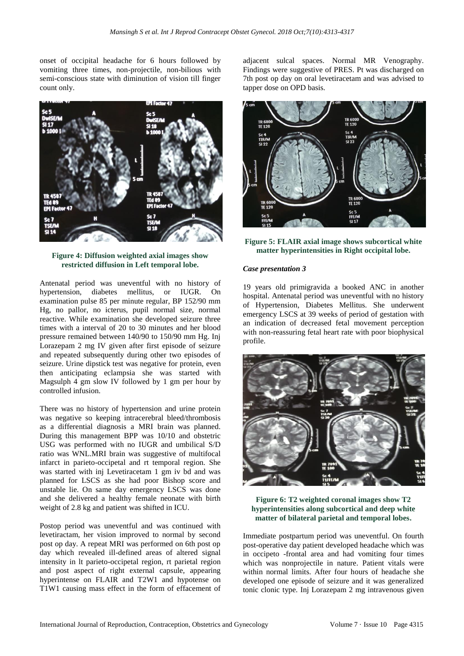onset of occipital headache for 6 hours followed by vomiting three times, non-projectile, non-bilious with semi-conscious state with diminution of vision till finger count only.



**Figure 4: Diffusion weighted axial images show restricted diffusion in Left temporal lobe.**

Antenatal period was uneventful with no history of hypertension, diabetes mellitus, or IUGR. On examination pulse 85 per minute regular, BP 152/90 mm Hg, no pallor, no icterus, pupil normal size, normal reactive. While examination she developed seizure three times with a interval of 20 to 30 minutes and her blood pressure remained between 140/90 to 150/90 mm Hg. Inj Lorazepam 2 mg IV given after first episode of seizure and repeated subsequently during other two episodes of seizure. Urine dipstick test was negative for protein, even then anticipating eclampsia she was started with Magsulph 4 gm slow IV followed by 1 gm per hour by controlled infusion.

There was no history of hypertension and urine protein was negative so keeping intracerebral bleed/thrombosis as a differential diagnosis a MRI brain was planned. During this management BPP was 10/10 and obstetric USG was performed with no IUGR and umbilical S/D ratio was WNL.MRI brain was suggestive of multifocal infarct in parieto-occipetal and rt temporal region. She was started with inj Levetiracetam 1 gm iv bd and was planned for LSCS as she had poor Bishop score and unstable lie. On same day emergency LSCS was done and she delivered a healthy female neonate with birth weight of 2.8 kg and patient was shifted in ICU.

Postop period was uneventful and was continued with levetiractam, her vision improved to normal by second post op day. A repeat MRI was performed on 6th post op day which revealed ill-defined areas of altered signal intensity in lt parieto-occipetal region, rt parietal region and post aspect of right external capsule, appearing hyperintense on FLAIR and T2W1 and hypotense on T1W1 causing mass effect in the form of effacement of adjacent sulcal spaces. Normal MR Venography. Findings were suggestive of PRES. Pt was discharged on 7th post op day on oral levetiracetam and was advised to tapper dose on OPD basis.



**Figure 5: FLAIR axial image shows subcortical white matter hyperintensities in Right occipital lobe.**

### *Case presentation 3*

19 years old primigravida a booked ANC in another hospital. Antenatal period was uneventful with no history of Hypertension, Diabetes Mellitus. She underwent emergency LSCS at 39 weeks of period of gestation with an indication of decreased fetal movement perception with non-reassuring fetal heart rate with poor biophysical profile.



**Figure 6: T2 weighted coronal images show T2 hyperintensities along subcortical and deep white matter of bilateral parietal and temporal lobes.**

Immediate postpartum period was uneventful. On fourth post-operative day patient developed headache which was in occipeto -frontal area and had vomiting four times which was nonprojectile in nature. Patient vitals were within normal limits. After four hours of headache she developed one episode of seizure and it was generalized tonic clonic type. Inj Lorazepam 2 mg intravenous given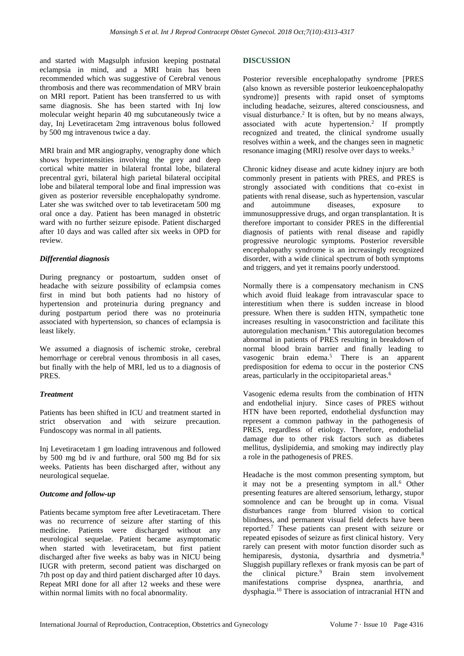and started with Magsulph infusion keeping postnatal eclampsia in mind, and a MRI brain has been recommended which was suggestive of Cerebral venous thrombosis and there was recommendation of MRV brain on MRI report. Patient has been transferred to us with same diagnosis. She has been started with Inj low molecular weight heparin 40 mg subcutaneously twice a day, Inj Levetiracetam 2mg intravenous bolus followed by 500 mg intravenous twice a day.

MRI brain and MR angiography, venography done which shows hyperintensities involving the grey and deep cortical white matter in bilateral frontal lobe, bilateral precentral gyri, bilateral high parietal bilateral occipital lobe and bilateral temporal lobe and final impression was given as posterior reversible encephalopathy syndrome. Later she was switched over to tab levetiracetam 500 mg oral once a day. Patient has been managed in obstetric ward with no further seizure episode. Patient discharged after 10 days and was called after six weeks in OPD for review.

# *Differential diagnosis*

During pregnancy or postoartum, sudden onset of headache with seizure possibility of eclampsia comes first in mind but both patients had no history of hypertension and proteinuria during pregnancy and during postpartum period there was no proteinuria associated with hypertension, so chances of eclampsia is least likely.

We assumed a diagnosis of ischemic stroke, cerebral hemorrhage or cerebral venous thrombosis in all cases, but finally with the help of MRI, led us to a diagnosis of PRES.

# *Treatment*

Patients has been shifted in ICU and treatment started in strict observation and with seizure precaution. Fundoscopy was normal in all patients.

Inj Levetiracetam 1 gm loading intravenous and followed by 500 mg bd iv and furthure, oral 500 mg Bd for six weeks. Patients has been discharged after, without any neurological sequelae.

# *Outcome and follow-up*

Patients became symptom free after Levetiracetam. There was no recurrence of seizure after starting of this medicine. Patients were discharged without any neurological sequelae. Patient became asymptomatic when started with levetiracetam, but first patient discharged after five weeks as baby was in NICU being IUGR with preterm, second patient was discharged on 7th post op day and third patient discharged after 10 days. Repeat MRI done for all after 12 weeks and these were within normal limits with no focal abnormality.

# **DISCUSSION**

Posterior reversible encephalopathy syndrome [PRES (also known as reversible posterior leukoencephalopathy syndrome)] presents with rapid onset of symptoms including headache, seizures, altered consciousness, and visual disturbance.<sup>2</sup> It is often, but by no means always, associated with acute hypertension. 2 If promptly recognized and treated, the clinical syndrome usually resolves within a week, and the changes seen in magnetic resonance imaging (MRI) resolve over days to weeks.<sup>3</sup>

Chronic kidney disease and acute kidney injury are both commonly present in patients with PRES, and PRES is strongly associated with conditions that co-exist in patients with renal disease, such as hypertension, vascular and autoimmune diseases, exposure to immunosuppressive drugs, and organ transplantation. It is therefore important to consider PRES in the differential diagnosis of patients with renal disease and rapidly progressive neurologic symptoms. Posterior reversible encephalopathy syndrome is an increasingly recognized disorder, with a wide clinical spectrum of both symptoms and triggers, and yet it remains poorly understood.

Normally there is a compensatory mechanism in CNS which avoid fluid leakage from intravascular space to interestitium when there is sudden increase in blood pressure. When there is sudden HTN, sympathetic tone increases resulting in vasoconstriction and facilitate this autoregulation mechanism.<sup>4</sup> This autoregulation becomes abnormal in patients of PRES resulting in breakdown of normal blood brain barrier and finally leading to vasogenic brain edema.<sup>5</sup> There is an apparent predisposition for edema to occur in the posterior CNS areas, particularly in the occipitoparietal areas.<sup>6</sup>

Vasogenic edema results from the combination of HTN and endothelial injury. Since cases of PRES without HTN have been reported, endothelial dysfunction may represent a common pathway in the pathogenesis of PRES, regardless of etiology. Therefore, endothelial damage due to other risk factors such as diabetes mellitus, dyslipidemia, and smoking may indirectly play a role in the pathogenesis of PRES.

Headache is the most common presenting symptom, but it may not be a presenting symptom in all.<sup>6</sup> Other presenting features are altered sensorium, lethargy, stupor somnolence and can be brought up in coma. Visual disturbances range from blurred vision to cortical blindness, and permanent visual field defects have been reported.<sup>7</sup> These patients can present with seizure or repeated episodes of seizure as first clinical history. Very rarely can present with motor function disorder such as hemiparesis, dystonia, dysarthria and dysmetria.<sup>8</sup> Sluggish pupillary reflexes or frank myosis can be part of the clinical picture. $9$  Brain stem involvement manifestations comprise dyspnea, anarthria, and dysphagia.<sup>10</sup> There is association of intracranial HTN and